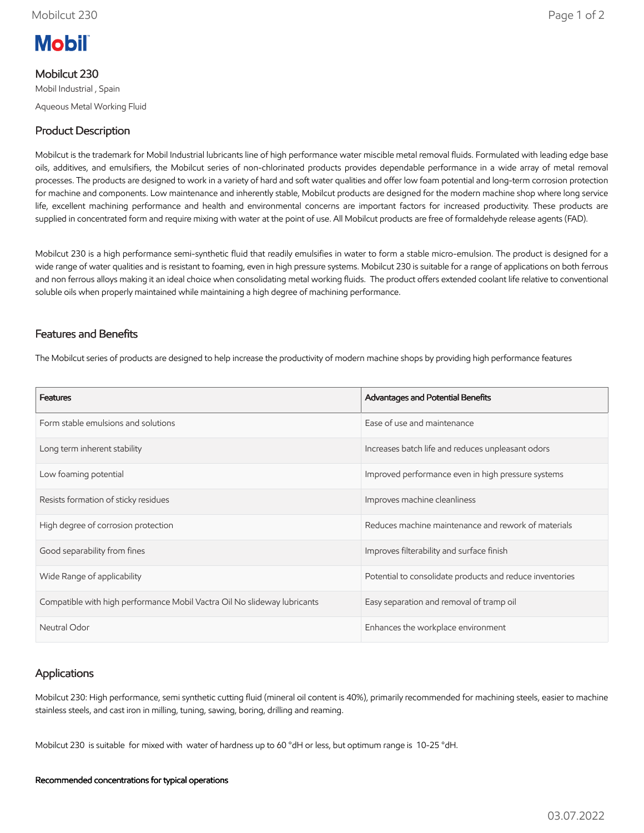

Mobilcut 230

Mobil Industrial , Spain Aqueous Metal Working Fluid

# Product Description

Mobilcut is the trademark for Mobil Industrial lubricants line of high performance water miscible metal removal fluids. Formulated with leading edge base oils, additives, and emulsifiers, the Mobilcut series of non-chlorinated products provides dependable performance in a wide array of metal removal processes. The products are designed to work in a variety of hard and soft water qualities and offer low foam potential and long-term corrosion protection for machine and components. Low maintenance and inherently stable, Mobilcut products are designed for the modern machine shop where long service life, excellent machining performance and health and environmental concerns are important factors for increased productivity. These products are supplied in concentrated form and require mixing with water at the point of use. All Mobilcut products are free of formaldehyde release agents (FAD).

Mobilcut 230 is a high performance semi-synthetic fluid that readily emulsifies in water to form a stable micro-emulsion. The product is designed for a wide range of water qualities and is resistant to foaming, even in high pressure systems. Mobilcut 230 is suitable for a range of applications on both ferrous and non ferrous alloys making it an ideal choice when consolidating metal working fluids. The product offers extended coolant life relative to conventional soluble oils when properly maintained while maintaining a high degree of machining performance.

### Features and Benefits

The Mobilcut series of products are designed to help increase the productivity of modern machine shops by providing high performance features

| <b>Features</b>                                                          | Advantages and Potential Benefits                        |
|--------------------------------------------------------------------------|----------------------------------------------------------|
| Form stable emulsions and solutions                                      | Ease of use and maintenance                              |
| Long term inherent stability                                             | Increases batch life and reduces unpleasant odors        |
| Low foaming potential                                                    | Improved performance even in high pressure systems       |
| Resists formation of sticky residues                                     | Improves machine cleanliness                             |
| High degree of corrosion protection                                      | Reduces machine maintenance and rework of materials      |
| Good separability from fines                                             | Improves filterability and surface finish                |
| Wide Range of applicability                                              | Potential to consolidate products and reduce inventories |
| Compatible with high performance Mobil Vactra Oil No slideway lubricants | Easy separation and removal of tramp oil                 |
| Neutral Odor                                                             | Enhances the workplace environment                       |

# Applications

Mobilcut 230: High performance, semi synthetic cutting fluid (mineral oil content is 40%), primarily recommended for machining steels, easier to machine stainless steels, and cast iron in milling, tuning, sawing, boring, drilling and reaming.

Mobilcut 230 is suitable for mixed with water of hardness up to 60 °dH or less, but optimum range is 10-25 °dH.